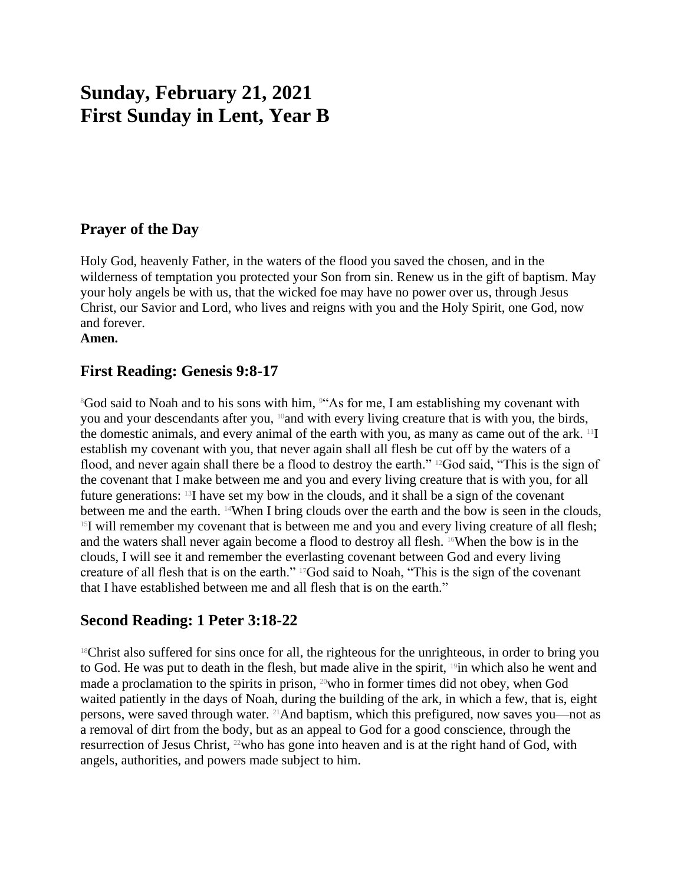# **Sunday, February 21, 2021 First Sunday in Lent, Year B**

## **Prayer of the Day**

Holy God, heavenly Father, in the waters of the flood you saved the chosen, and in the wilderness of temptation you protected your Son from sin. Renew us in the gift of baptism. May your holy angels be with us, that the wicked foe may have no power over us, through Jesus Christ, our Savior and Lord, who lives and reigns with you and the Holy Spirit, one God, now and forever.

**Amen.**

## **First Reading: Genesis 9:8-17**

<sup>8</sup>God said to Noah and to his sons with him, <sup>944</sup>As for me, I am establishing my covenant with you and your descendants after you, 10and with every living creature that is with you, the birds, the domestic animals, and every animal of the earth with you, as many as came out of the ark. 11I establish my covenant with you, that never again shall all flesh be cut off by the waters of a flood, and never again shall there be a flood to destroy the earth." <sup>12</sup>God said, "This is the sign of the covenant that I make between me and you and every living creature that is with you, for all future generations: 13I have set my bow in the clouds, and it shall be a sign of the covenant between me and the earth. 14When I bring clouds over the earth and the bow is seen in the clouds,  $15$ I will remember my covenant that is between me and you and every living creature of all flesh; and the waters shall never again become a flood to destroy all flesh. 16When the bow is in the clouds, I will see it and remember the everlasting covenant between God and every living creature of all flesh that is on the earth." 17God said to Noah, "This is the sign of the covenant that I have established between me and all flesh that is on the earth."

## **Second Reading: 1 Peter 3:18-22**

<sup>18</sup>Christ also suffered for sins once for all, the righteous for the unrighteous, in order to bring you to God. He was put to death in the flesh, but made alive in the spirit, <sup>19</sup>in which also he went and made a proclamation to the spirits in prison, 20who in former times did not obey, when God waited patiently in the days of Noah, during the building of the ark, in which a few, that is, eight persons, were saved through water.  $^{21}$ And baptism, which this prefigured, now saves you—not as a removal of dirt from the body, but as an appeal to God for a good conscience, through the resurrection of Jesus Christ, <sup>22</sup>who has gone into heaven and is at the right hand of God, with angels, authorities, and powers made subject to him.